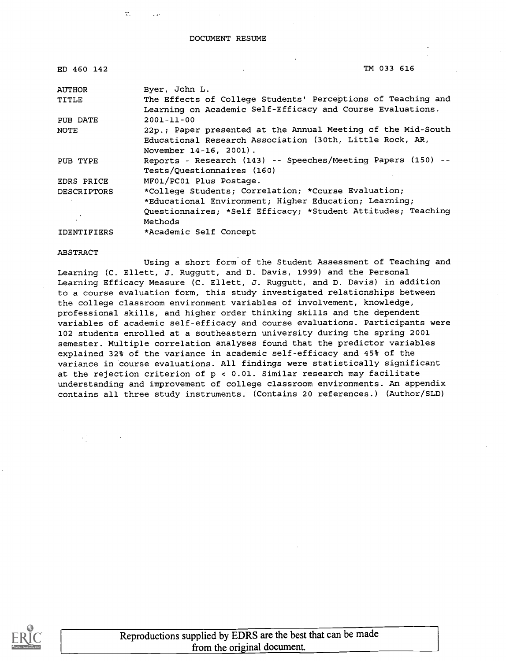DOCUMENT RESUME

| ED 460 142         | TM 033 616                                                                                                                                                                              |
|--------------------|-----------------------------------------------------------------------------------------------------------------------------------------------------------------------------------------|
| <b>AUTHOR</b>      | Byer, John L.                                                                                                                                                                           |
| TITLE              | The Effects of College Students' Perceptions of Teaching and                                                                                                                            |
| PUB DATE           | Learning on Academic Self-Efficacy and Course Evaluations.<br>$2001 - 11 - 00$                                                                                                          |
| <b>NOTE</b>        | 22p.; Paper presented at the Annual Meeting of the Mid-South<br>Educational Research Association (30th, Little Rock, AR,<br>November 14-16, 2001).                                      |
| PUB TYPE           | Reports - Research (143) -- Speeches/Meeting Papers (150) --<br>Tests/Questionnaires (160)                                                                                              |
| EDRS PRICE         | MF01/PC01 Plus Postage.                                                                                                                                                                 |
| <b>DESCRIPTORS</b> | *College Students; Correlation; *Course Evaluation;<br>*Educational Environment; Higher Education; Learning;<br>Questionnaires; *Self Efficacy; *Student Attitudes; Teaching<br>Methods |
| <b>IDENTIFIERS</b> | *Academic Self Concept                                                                                                                                                                  |

ABSTRACT

ogs.

Using a short form of the Student Assessment of Teaching and Learning (C. Ellett, J. Ruggutt, and D. Davis, 1999) and the Personal Learning Efficacy Measure (C. Ellett, J. Ruggutt, and D. Davis) in addition to a course evaluation form, this study investigated relationships between the college classroom environment variables of involvement, knowledge, professional skills, and higher order thinking skills and the dependent variables of academic self-efficacy and course evaluations. Participants were 102 students enrolled at a southeastern university during the spring 2001 semester. Multiple correlation analyses found that the predictor variables explained 32% of the variance in academic self-efficacy and 45% of the variance in course evaluations. All findings were statistically significant at the rejection criterion of p < 0.01. Similar research may facilitate understanding and improvement of college classroom environments. An appendix contains all three study instruments. (Contains 20 references.) (Author/SLD)



Reproductions supplied by EDRS are the best that can be made from the original document.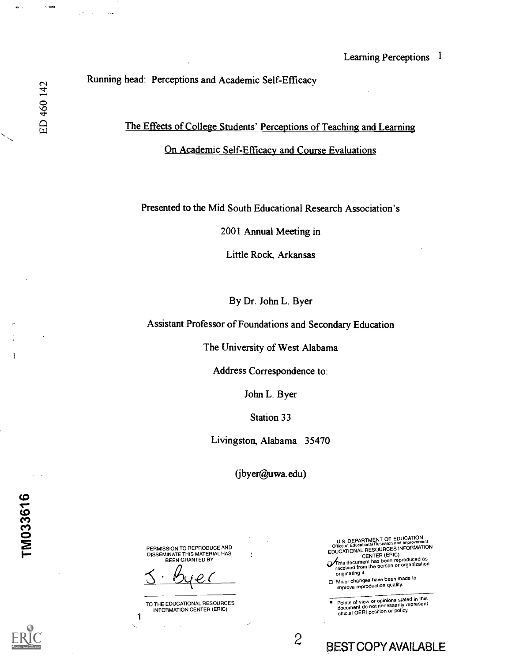### Running head: Perceptions and Academic Self-Efficacy

# The Effects of College Students' Perceptions of Teaching and Learning On Academic Self-Efficacy and Course Evaluations

### Presented to the Mid South Educational Research Association's

2001 Annual Meeting in

Little Rock, Arkansas

By Dr. John L. Byer

Assistant Professor of Foundations and Secondary Education

The University of West Alabama

Address Correspondence to:

John L. Byer

Station 33

Livingston, Alabama 35470

(jbyer@uwa.edu)

PERMISSION TO REPRODUCE AND DISSEMINATE THIS MATERIAL HAS BEEN GRANTED BY

yer \_

TO THE EDUCATIONAL RESOURCES INFORMATION CENTER (ERIC)

1

U.S. DEPARTMENT OF EDUCATION<br>Office of Educational Research and Improvement<br>Corporational Research and Improvement

EDUCATIONAL RESOURCES INFORMATION<br>
CENTER (ERIC)<br>
This document has been reproduced as<br>
received from the person or organization<br>
originating it.<br>  $\Box$  Minor changes have been made to

□ Minor changes have been made to<br>improve reproduction quality.

2 BEST COPY AVAILABLE

Points of view or opinions stated in this document do not necessarily represent official OERI position or policy.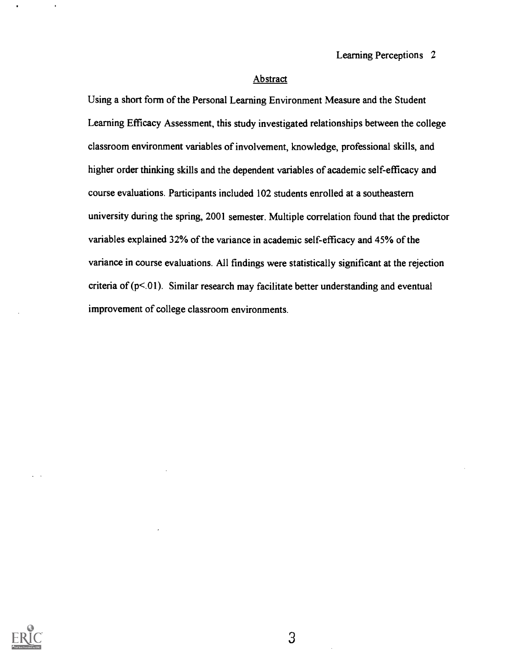#### **Abstract**

Using a short form of the Personal Learning Environment Measure and the Student Learning Efficacy Assessment, this study investigated relationships between the college classroom environment variables of involvement, knowledge, professional skills, and higher order thinking skills and the dependent variables of academic self-efficacy and course evaluations. Participants included 102 students enrolled at a southeastern university during the spring, 2001 semester. Multiple correlation found that the predictor variables explained 32% of the variance in academic self-efficacy and 45% of the variance in course evaluations. All findings were statistically significant at the rejection criteria of  $(p<.01)$ . Similar research may facilitate better understanding and eventual improvement of college classroom environments.

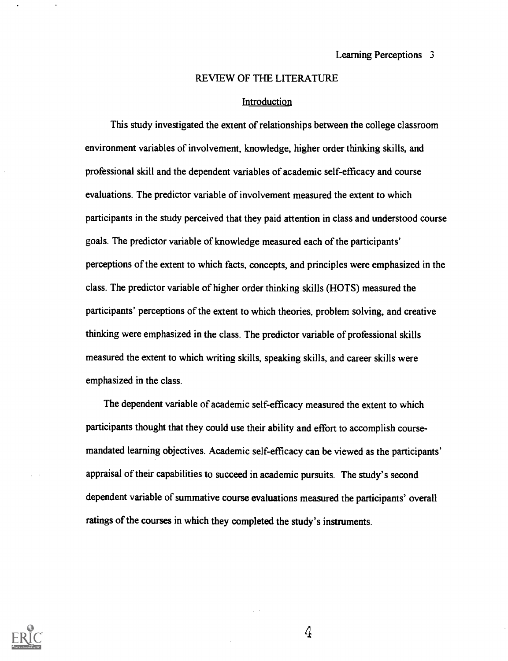#### REVIEW OF THE LITERATURE

#### **Introduction**

This study investigated the extent of relationships between the college classroom environment variables of involvement, knowledge, higher order thinking skills, and professional skill and the dependent variables of academic self-efficacy and course evaluations. The predictor variable of involvement measured the extent to which participants in the study perceived that they paid attention in class and understood course goals. The predictor variable of knowledge measured each of the participants' perceptions of the extent to which facts, concepts, and principles were emphasized in the class. The predictor variable of higher order thinking skills (HOTS) measured the participants' perceptions of the extent to which theories, problem solving, and creative thinking were emphasized in the class. The predictor variable of professional skills measured the extent to which writing skills, speaking skills, and career skills were emphasized in the class.

The dependent variable of academic self-efficacy measured the extent to which participants thought that they could use their ability and effort to accomplish coursemandated learning objectives. Academic self-efficacy can be viewed as the participants' appraisal of their capabilities to succeed in academic pursuits. The study's second dependent variable of summative course evaluations measured the participants' overall ratings of the courses in which they completed the study's instruments.

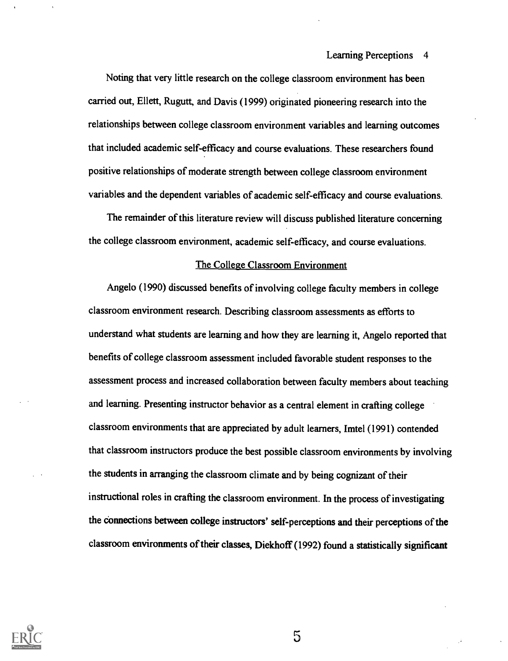Noting that very little research on the college classroom environment has been carried out, Ellett, Rugutt, and Davis (1999) originated pioneering research into the relationships between college classroom environment variables and learning outcomes that included academic self-efficacy and course evaluations. These researchers found positive relationships of moderate strength between college classroom environment variables and the dependent variables of academic self-efficacy and course evaluations.

The remainder of this literature review will discuss published literature concerning the college classroom environment, academic self-efficacy, and course evaluations.

#### The College Classroom Environment

Angelo (1990) discussed benefits of involving college faculty members in college classroom environment research. Describing classroom assessments as efforts to understand what students are learning and how they are learning it, Angelo reported that benefits of college classroom assessment included favorable student responses to the assessment process and increased collaboration between faculty members about teaching and learning. Presenting instructor behavior as a central element in crafting college classroom environments that are appreciated by adult learners, Imtel (1991) contended that classroom instructors produce the best possible classroom environments by involving the students in arranging the classroom climate and by being cognizant of their instructional roles in crafting the classroom environment. In the process of investigating the Connections between college instructors' self-perceptions and their perceptions of the classroom environments of their classes, Diekhoff (1992) found a statistically significant



 $\overline{5}$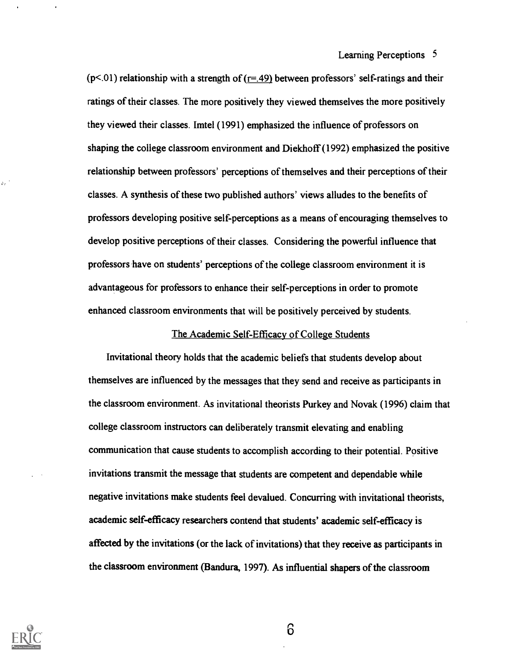( $p$ <.01) relationship with a strength of ( $r = .49$ ) between professors' self-ratings and their ratings of their classes. The more positively they viewed themselves the more positively they viewed their classes. Imtel (1991) emphasized the influence of professors on shaping the college classroom environment and Diekhoff (1992) emphasized the positive relationship between professors' perceptions of themselves and their perceptions of their classes. A synthesis of these two published authors' views alludes to the benefits of professors developing positive self-perceptions as a means of encouraging themselves to develop positive perceptions of their classes. Considering the powerful influence that professors have on students' perceptions of the college classroom environment it is advantageous for professors to enhance their self-perceptions in order to promote enhanced classroom environments that will be positively perceived by students.

### The Academic Self-Efficacy of College Students

Invitational theory holds that the academic beliefs that students develop about themselves are influenced by the messages that they send and receive as participants in the classroom environment. As invitational theorists Purkey and Novak (1996) claim that college classroom instructors can deliberately transmit elevating and enabling communication that cause students to accomplish according to their potential. Positive invitations transmit the message that students are competent and dependable while negative invitations make students feel devalued. Concurring with invitational theorists, academic self-efficacy researchers contend that students' academic self-efficacy is affected by the invitations (or the lack of invitations) that they receive as participants in the classroom environment (Bandura, 1997). As influential shapers of the classroom



ò.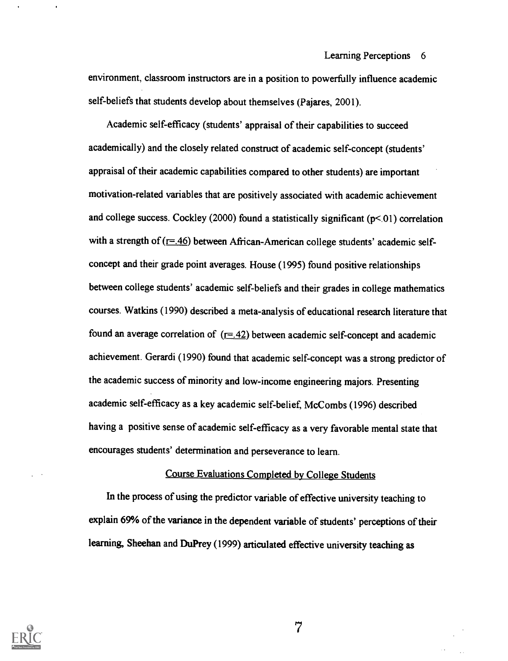environment, classroom instructors are in a position to powerfully influence academic self-beliefs that students develop about themselves (Pajares, 2001).

Academic self-efficacy (students' appraisal of their capabilities to succeed academically) and the closely related construct of academic self-concept (students' appraisal of their academic capabilities compared to other students) are important motivation-related variables that are positively associated with academic achievement and college success. Cockley (2000) found a statistically significant  $(p<01)$  correlation with a strength of  $(F=46)$  between African-American college students' academic selfconcept and their grade point averages. House (1995) found positive relationships between college students' academic self-beliefs and their grades in college mathematics courses. Watkins (1990) described a meta-analysis of educational research literature that found an average correlation of  $(=.42)$  between academic self-concept and academic achievement. Gerardi (1990) found that academic self-concept was a strong predictor of the academic success of minority and low-income engineering majors. Presenting academic self-efficacy as a key academic self-belief, McCombs (1996) described having a positive sense of academic self-efficacy as a very favorable mental state that encourages students' determination and perseverance to learn.

### Course Evaluations Completed by College Students

In the process of using the predictor variable of effective university teaching to explain 69% of the variance in the dependent variable of students' perceptions of their learning, Sheehan and DuPrey (1999) articulated effective university teaching as



 $\overline{7}$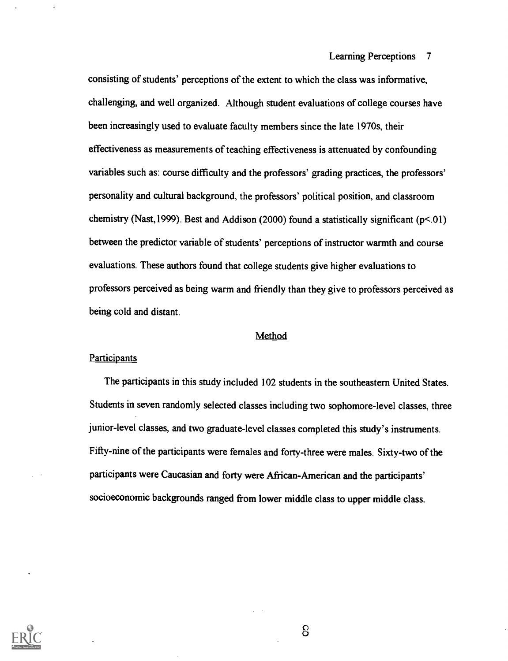consisting of students' perceptions of the extent to which the class was informative, challenging, and well organized. Although student evaluations of college courses have been increasingly used to evaluate faculty members since the late 1970s, their effectiveness as measurements of teaching effectiveness is attenuated by confounding variables such as: course difficulty and the professors' grading practices, the professors' personality and cultural background, the professors' political position, and classroom chemistry (Nast, 1999). Best and Addison (2000) found a statistically significant ( $p<01$ ) between the predictor variable of students' perceptions of instructor warmth and course evaluations. These authors found that college students give higher evaluations to professors perceived as being warm and friendly than they give to professors perceived as being cold and distant.

#### **Method**

#### **Participants**

The participants in this study included 102 students in the southeastern United States. Students in seven randomly selected classes including two sophomore-level classes, three junior-level classes, and two graduate-level classes completed this study's instruments. Fifty-nine of the participants were females and forty-three were males. Sixty-two of the participants were Caucasian and forty were African-American and the participants' socioeconomic backgrounds ranged from lower middle class to upper middle class.

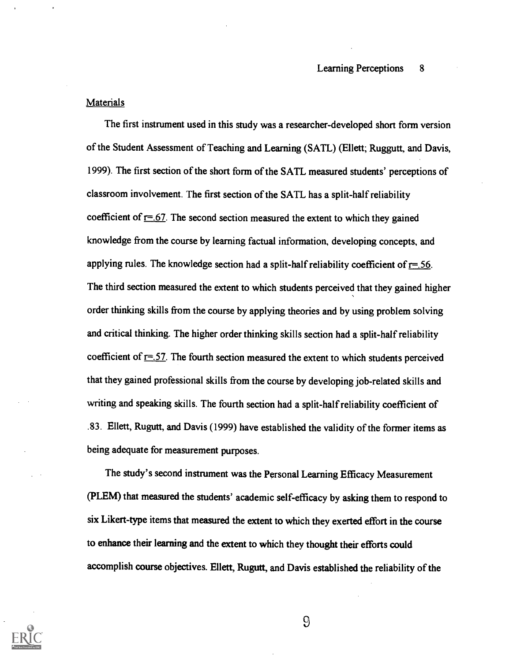#### **Materials**

The first instrument used in this study was a researcher-developed short form version of the Student Assessment of Teaching and Learning (SATL) (Ellett; Ruggutt, and Davis, 1999). The first section of the short form of the SATL measured students' perceptions of classroom involvement. The first section of the SATL has a split-half reliability coefficient of  $r=67$ . The second section measured the extent to which they gained knowledge from the course by learning factual information, developing concepts, and applying rules. The knowledge section had a split-half reliability coefficient of  $r=$ .56. The third section measured the extent to which students perceived that they gained higher order thinking skills from the course by applying theories and by using problem solving and critical thinking. The higher order thinking skills section had a split-half reliability coefficient of  $r = 57$ . The fourth section measured the extent to which students perceived that they gained professional skills from the course by developing job-related skills and writing and speaking skills. The fourth section had a split-half reliability coefficient of .83. Ellett, Rugutt, and Davis (1999) have established the validity of the former items as being adequate for measurement purposes.

The study's second instrument was the Personal Learning Efficacy Measurement (PLEM) that measured the students' academic self-efficacy by asking them to respond to six Likert-type items that measured the extent to which they exerted effort in the course to enhance their learning and the extent to which they thought their efforts could accomplish course objectives. Ellett, Rugutt, and Davis established the reliability of the

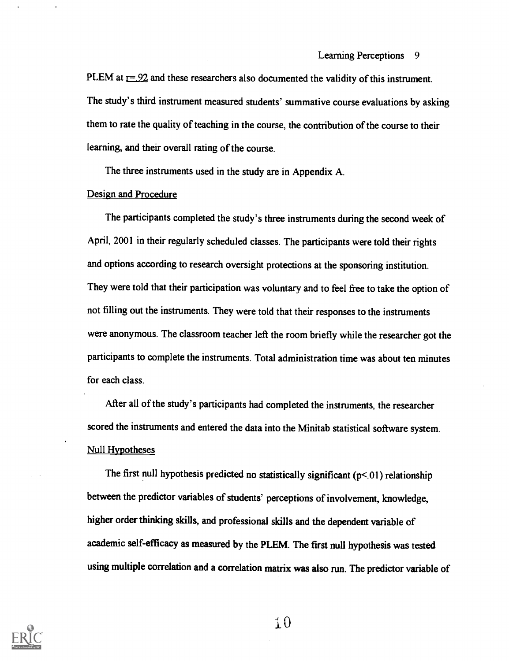PLEM at  $r = 92$  and these researchers also documented the validity of this instrument. The study's third instrument measured students' summative course evaluations by asking them to rate the quality of teaching in the course, the contribution of the course to their learning, and their overall rating of the course.

The three instruments used in the study are in Appendix A.

### Design and Procedure

The participants completed the study's three instruments during the second week of April, 2001 in their regularly scheduled classes. The participants were told their rights and options according to research oversight protections at the sponsoring institution. They were told that their participation was voluntary and to feel free to take the option of not filling out the instruments. They were told that their responses to the instruments were anonymous. The classroom teacher left the room briefly while the researcher got the participants to complete the instruments. Total administration time was about ten minutes for each class.

After all of the study's participants had completed the instruments, the researcher scored the instruments and entered the data into the Minitab statistical software system. Null Hypotheses

The first null hypothesis predicted no statistically significant  $(p<01)$  relationship between the predictor variables of students' perceptions of involvement, knowledge, higher order thinking skills, and professional skills and the dependent variable of academic self-efficacy as measured by the PLEM. The first null hypothesis was tested using multiple correlation and a correlation matrix was also run. The predictor variable of

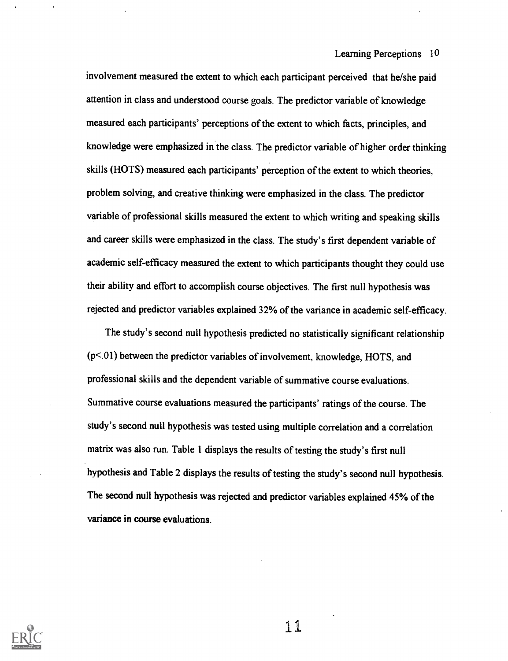involvement measured the extent to which each participant perceived that he/she paid attention in class and understood course goals. The predictor variable of knowledge measured each participants' perceptions of the extent to which facts, principles, and knowledge were emphasized in the class. The predictor variable of higher order thinking skills (HOTS) measured each participants' perception of the extent to which theories, problem solving, and creative thinking were emphasized in the class. The predictor variable of professional skills measured the extent to which writing and speaking skills and career skills were emphasized in the class. The study's first dependent variable of academic self-efficacy measured the extent to which participants thought they could use their ability and effort to accomplish course objectives. The first null hypothesis was rejected and predictor variables explained 32% of the variance in academic self-efficacy.

The study's second null hypothesis predicted no statistically significant relationship  $(p<.01)$  between the predictor variables of involvement, knowledge, HOTS, and professional skills and the dependent variable of summative course evaluations. Summative course evaluations measured the participants' ratings of the course. The study's second null hypothesis was tested using multiple correlation and a correlation matrix was also run. Table 1 displays the results of testing the study's first null hypothesis and Table 2 displays the results of testing the study's second null hypothesis. The second null hypothesis was rejected and predictor variables explained 45% of the variance in course evaluations.

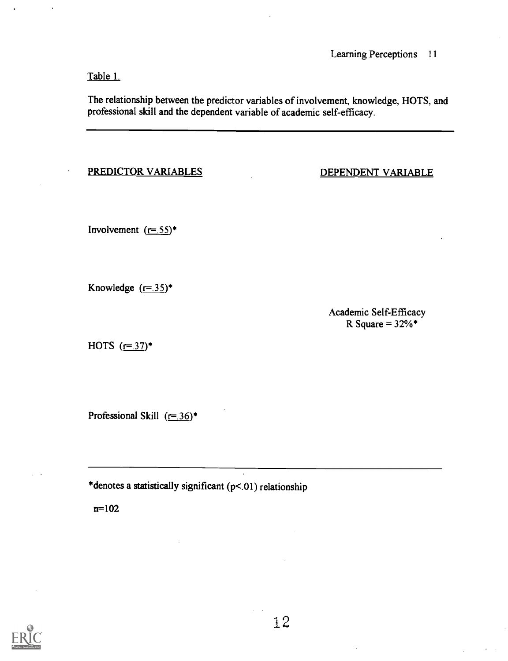Table 1.

The relationship between the predictor variables of involvement, knowledge, HOTS, and professional skill and the dependent variable of academic self-efficacy.

### PREDICTOR VARIABLES

DEPENDENT VARIABLE

Involvement  $(r=.55)^*$ 

Knowledge  $(\underline{r=.35})^*$ 

Academic Self-Efficacy R Square =  $32\%$ \*

HOTS  $(= 37)^*$ 

Professional Skill  $(r=0.36)^*$ 

\*denotes a statistically significant (p<.01) relationship

n=102

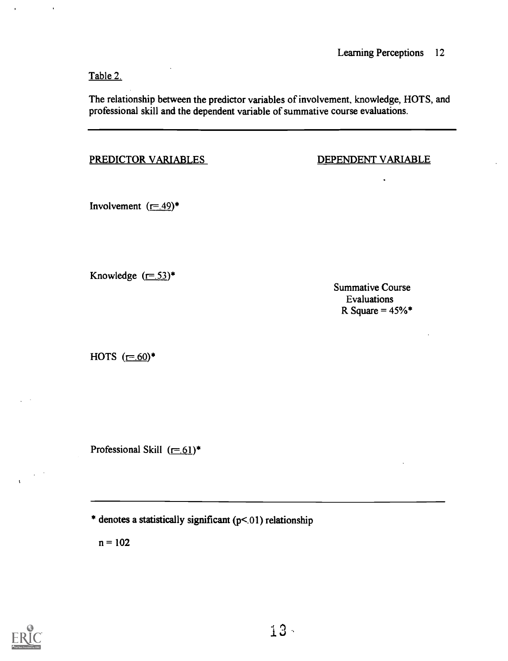Table 2.

The relationship between the predictor variables of involvement, knowledge, HOTS, and professional skill and the dependent variable of summative course evaluations.

PREDICTOR VARIABLES DEPENDENT VARIABLE

Involvement  $(=49)^*$ 

Knowledge  $(= 53)^*$ 

Summative Course Evaluations R Square =  $45\%$ \*

HOTS  $(= .60)$ \*

Professional Skill  $(=61)^*$ 

\* denotes a statistically significant (p<.01) relationship

 $n = 102$ 

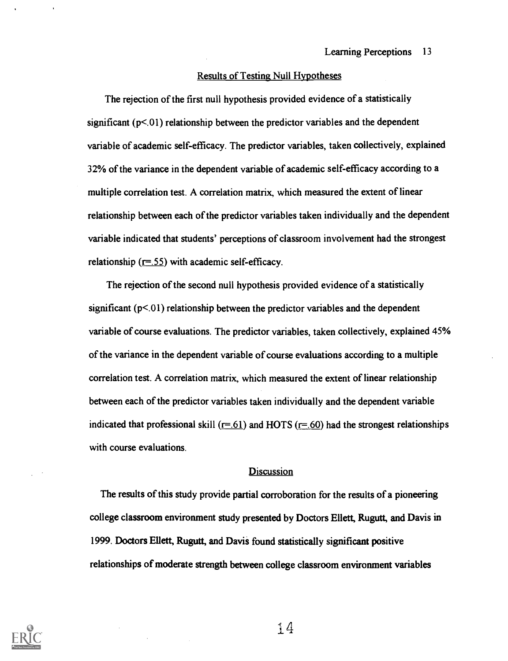### Results of Testing Null Hypotheses

The rejection of the first null hypothesis provided evidence of a statistically significant  $(p<0)$  relationship between the predictor variables and the dependent variable of academic self-efficacy. The predictor variables, taken collectively, explained 32% of the variance in the dependent variable of academic self-efficacy according to a multiple correlation test. A correlation matrix, which measured the extent of linear relationship between each of the predictor variables taken individually and the dependent variable indicated that students' perceptions of classroom involvement had the strongest relationship ( $r=0.55$ ) with academic self-efficacy.

The rejection of the second null hypothesis provided evidence of a statistically significant  $(p<0)$  relationship between the predictor variables and the dependent variable of course evaluations. The predictor variables, taken collectively, explained 45% of the variance in the dependent variable of course evaluations according to a multiple correlation test. A correlation matrix, which measured the extent of linear relationship between each of the predictor variables taken individually and the dependent variable indicated that professional skill  $(=61)$  and HOTS  $(=60)$  had the strongest relationships with course evaluations.

#### **Discussion**

The results of this study provide partial corroboration for the results of a pioneering college classroom environment study presented by Doctors Ellett, Rugutt, and Davis in 1999. Doctors Ellett, Rugutt, and Davis found statistically significant positive relationships of moderate strength between college classroom environment variables

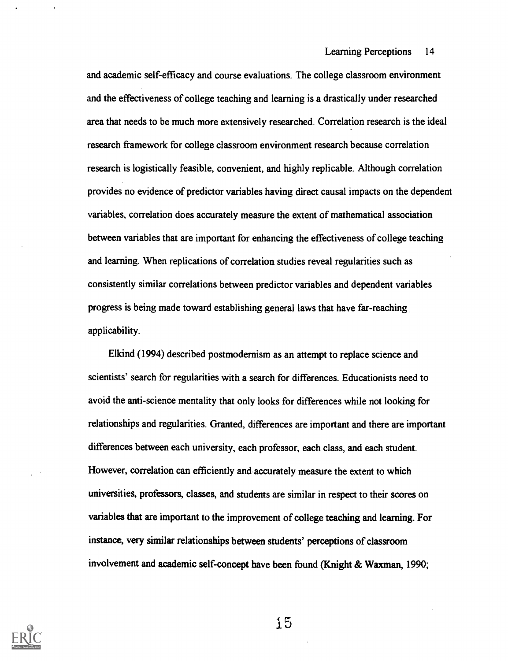and academic self-efficacy and course evaluations. The college classroom environment and the effectiveness of college teaching and learning is a drastically under researched area that needs to be much more extensively researched. Correlation research is the ideal research framework for college classroom environment research because correlation research is logistically feasible, convenient, and highly replicable. Although correlation provides no evidence of predictor variables having direct causal impacts on the dependent variables, correlation does accurately measure the extent of mathematical association between variables that are important for enhancing the effectiveness of college teaching and learning. When replications of correlation studies reveal regularities such as consistently similar correlations between predictor variables and dependent variables progress is being made toward establishing general laws that have far-reaching applicability.

Elkind (1994) described postmodernism as an attempt to replace science and scientists' search for regularities with a search for differences. Educationists need to avoid the anti-science mentality that only looks for differences while not looking for relationships and regularities. Granted, differences are important and there are important differences between each university, each professor, each class, and each student. However, correlation can efficiently and accurately measure the extent to which universities, professors, classes, and students are similar in respect to their scores on variables that are important to the improvement of college teaching and learning. For instance, very similar relationships between students' perceptions of classroom involvement and academic self-concept have been found (Knight & Waxman, 1990;

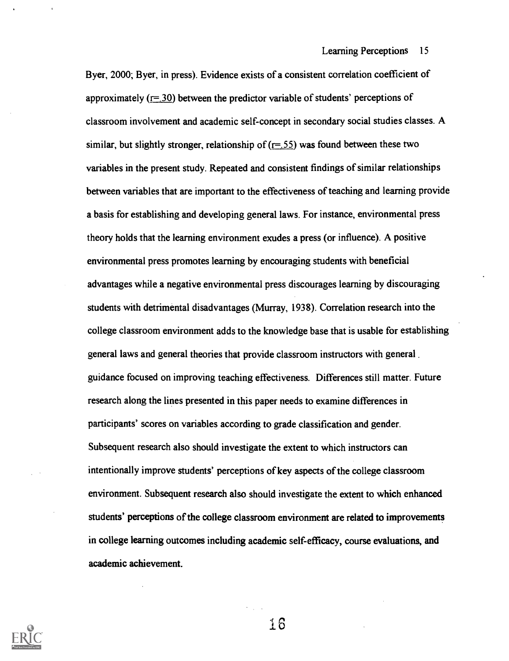Byer, 2000; Byer, in press). Evidence exists of a consistent correlation coefficient of approximately  $(r=30)$  between the predictor variable of students' perceptions of classroom involvement and academic self-concept in secondary social studies classes. A similar, but slightly stronger, relationship of  $(r=0.55)$  was found between these two variables in the present study. Repeated and consistent findings of similar relationships between variables that are important to the effectiveness of teaching and learning provide a basis for establishing and developing general laws. For instance, environmental press theory holds that the learning environment exudes a press (or influence). A positive environmental press promotes learning by encouraging students with beneficial advantages while a negative environmental press discourages learning by discouraging students with detrimental disadvantages (Murray, 1938). Correlation research into the college classroom environment adds to the knowledge base that is usable for establishing general laws and general theories that provide classroom instructors with general guidance focused on improving teaching effectiveness. Differences still matter. Future research along the lines presented in this paper needs to examine differences in participants' scores on variables according to grade classification and gender. Subsequent research also should investigate the extent to which instructors can intentionally improve students' perceptions of key aspects of the college classroom environment. Subsequent research also should investigate the extent to which enhanced students' perceptions of the college classroom environment are related to improvements in college learning outcomes including academic self-efficacy, course evaluations, and academic achievement.

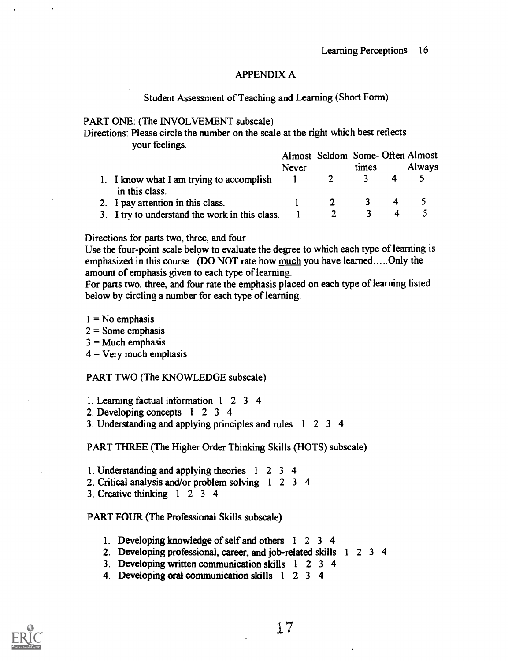### APPENDIX A

### Student Assessment of Teaching and Learning (Short Form)

### PART ONE: (The INVOLVEMENT subscale)

Directions: Please circle the number on the scale at the right which best reflects your feelings.

|                                                            |              | Almost Seldom Some-Often Almost |       |   |               |  |
|------------------------------------------------------------|--------------|---------------------------------|-------|---|---------------|--|
|                                                            | <b>Never</b> |                                 | times |   | <b>Always</b> |  |
| 1. I know what I am trying to accomplish<br>in this class. |              |                                 |       |   |               |  |
| 2. I pay attention in this class.                          |              |                                 |       | 4 |               |  |
| 3. I try to understand the work in this class.             |              |                                 |       |   |               |  |

### Directions for parts two, three, and four

Use the four-point scale below to evaluate the degree to which each type of learning is emphasized in this course. (DO NOT rate how much you have learned.....Only the amount of emphasis given to each type of learning.

For parts two, three, and four rate the emphasis placed on each type of learning listed below by circling a number for each type of learning.

- $1 = No$  emphasis
- $2 =$  Some emphasis
- $3 =$ Much emphasis
- $4 =$  Very much emphasis

### PART TWO (The KNOWLEDGE subscale)

- 1. Learning factual information <sup>1</sup> 2 3 4
- 2. Developing concepts <sup>1</sup> <sup>2</sup> 3 4
- 3. Understanding and applying principles and rules <sup>1</sup> 2 3 4

PART THREE (The Higher Order Thinking Skills (HOTS) subscale)

- 1. Understanding and applying theories <sup>1</sup> 2 3 4
- 2. Critical analysis and/or problem solving <sup>1</sup> 2 3 4
- 3. Creative thinking <sup>1</sup> 2 3 4

### PART FOUR (The Professional Skills subscale)

- 1. Developing knowledge of self and others <sup>1</sup> 2 3 4
- 2. Developing professional, career, and job-related skills <sup>1</sup> 2 3 4
- 3. Developing written communication skills <sup>1</sup> 2 3 4
- 4. Developing oral communication skills <sup>1</sup> 2 3 4

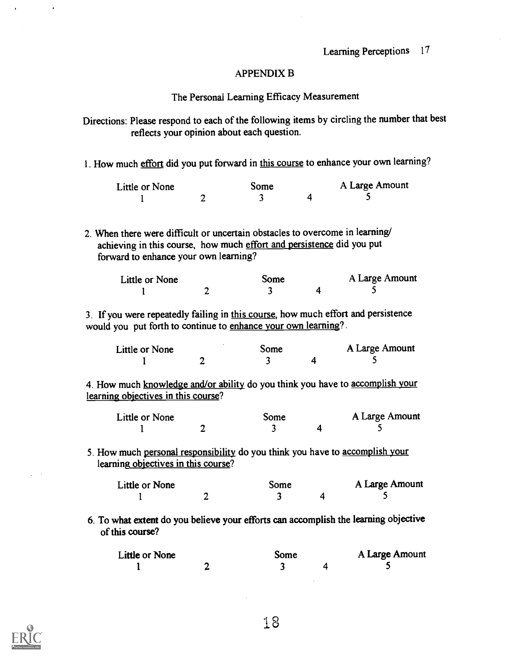### APPENDIX B

### The Personal Learning Efficacy Measurement

Directions: Please respond to each of the following items by circling the number that best reflects your opinion about each question.

1. How much effort did you put forward in this course to enhance your own learning?

| Little or None |  | Some |  | A Large Amount |
|----------------|--|------|--|----------------|
|                |  |      |  |                |

2. When there were difficult or uncertain obstacles to overcome in learning/ achieving in this course, how much effort and persistence did you put forward to enhance your own learning?

| Little or None | Some | A Large Amount |
|----------------|------|----------------|
|                |      |                |

3. If you were repeatedly failing in this course, how much effort and persistence would you put forth to continue to enhance your own learning?

| Little or None | Some | A Large Amount |
|----------------|------|----------------|
|                |      |                |

4. How much knowledge and/or ability do you think you have to accomplish your learning objectives in this course?

| Little or None |  | Some |  | A Large Amount |
|----------------|--|------|--|----------------|
|                |  |      |  |                |

5. How much personal responsibility do you think you have to accomplish your learning objectives in this course?

| Little or None | Some | A Large Amount |
|----------------|------|----------------|
|                |      |                |

6. To what extent do you believe your efforts can accomplish the learning objective of this course?

| Little or None | Some |  | A Large Amount |  |
|----------------|------|--|----------------|--|
|                |      |  |                |  |

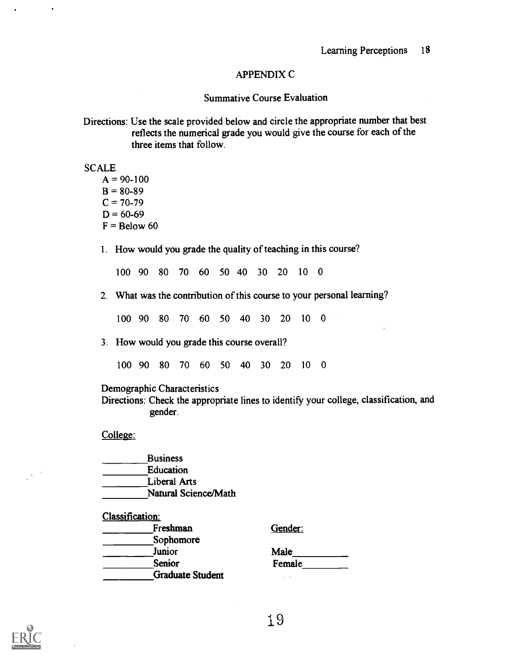### APPENDIX C

### Summative Course Evaluation

Directions: Use the scale provided below and circle the appropriate number that best reflects the numerical grade you would give the course for each of the three items that follow.

**SCALE** 

 $A = 90-100$  $B = 80-89$  $C = 70-79$  $D = 60-69$  $F =$ Below 60

1. How would you grade the quality of teaching in this course?

100 90 80 70 60 50 40 30 20 <sup>10</sup> 0

2. What was the contribution of this course to your personal learning?

100 90 80 70 60 50 40 30 20 10 0

3. How would you grade this course overall?

100 90 80 70 60 50 40 30 20 10 0

Demographic Characteristics

Directions: Check the appropriate lines to identify your college, classification, and gender.

College:

**Business** Education Liberal Arts Natural Science/Math

Classification:

| Freshman                | Gender:       |
|-------------------------|---------------|
| Sophomore               |               |
| Junior                  | Male          |
| <b>Senior</b>           | Female        |
| <b>Graduate Student</b> | $\sim$ $\sim$ |

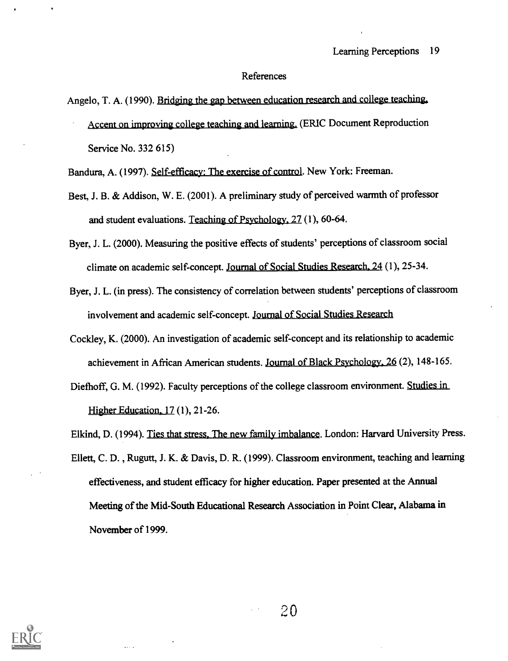#### References

Angelo, T. A. (1990). Bridging the gap between education research and college teaching, Accent on improving college teaching and learning. (ERIC Document Reproduction Service No. 332 615)

Bandura, A. (1997). Self-efficacy: The exercise of control. New York: Freeman.

- Best, J. B. & Addison, W. E. (2001). A preliminary study of perceived warmth of professor and student evaluations. Teaching of Psychology. 27 (1), 60-64.
- Byer, J. L. (2000). Measuring the positive effects of students' perceptions of classroom social climate on academic self-concept. Journal of Social Studies Research. 24 (1), 25-34.
- Byer, J. L. (in press). The consistency of correlation between students' perceptions of classroom involvement and academic self-concept. Journal of Social Studies Research
- Cockley, K. (2000). An investigation of academic self-concept and its relationship to academic achievement in African American students. Journal of Black Psychology. 26 (2), 148-165.
- Diefhoff, G. M. (1992). Faculty perceptions of the college classroom environment. Studies in Higher Education, 17 (1), 21-26.
- Elkind, D. (1994). Ties that stress, The new family imbalance. London: Harvard University Press.
- Ellett, C. D. , Rugutt, J. K. & Davis, D. R. (1999). Classroom environment, teaching and learning effectiveness, and student efficacy for higher education. Paper presented at the Annual Meeting of the Mid-South Educational Research Association in Point Clear, Alabama in November of 1999.

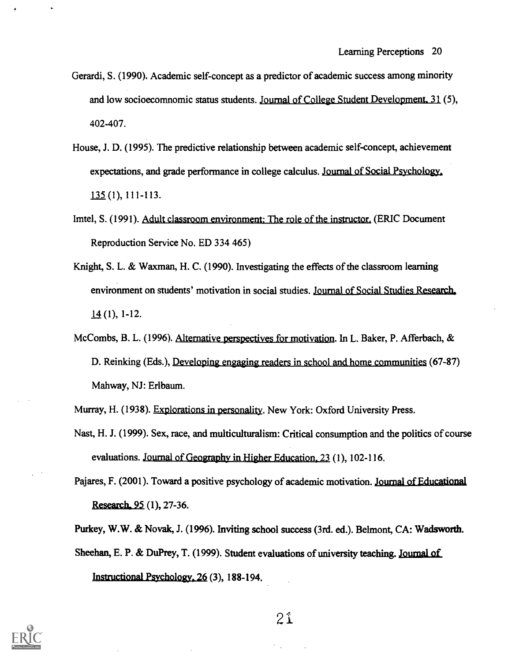- Gerardi, S. (1990). Academic self-concept as a predictor of academic success among minority and low socioecomnomic status students. Journal of College Student Development. 31 (5), 402-407.
- House, J. D. (1995). The predictive relationship between academic self-concept, achievement expectations, and grade performance in college calculus. Journal of Social Psychology, 135 (1), 111-113.
- Imtel, S. (1991). Adult classroom environment: The role of the instructor. (ERIC Document Reproduction Service No. ED 334 465)
- Knight, S. L. & Waxman, H. C. (1990). Investigating the effects of the classroom learning environment on students' motivation in social studies. Journal of Social Studies Research, 14 (1), 1-12.
- McCombs, B. L. (1996). Alternative perspectives for motivation. In L. Baker, P. Afferbach, & D. Reinking (Eds.), Developing engaging readers in school and home communities (67-87) Mahway, NJ: Erlbaum.
- Murray, H. (1938). Explorations in personality. New York: Oxford University Press.
- Nast, H. J. (1999). Sex, race, and multiculturalism: Critical consumption and the politics of course evaluations. Journal of Geography in Higher Education. 23 (1), 102-116.

Pajares, F. (2001). Toward a positive psychology of academic motivation. Journal of Educational Research, 95 (1), 27-36.

Purkey, W.W. & Novak, J. (1996). Inviting school success (3rd. ed.). Belmont, CA: Wadsworth. Sheehan, E. P. & DuPrey, T. (1999). Student evaluations of university teaching. Journal of Instructional Psychology. 26 (3), 188-194.

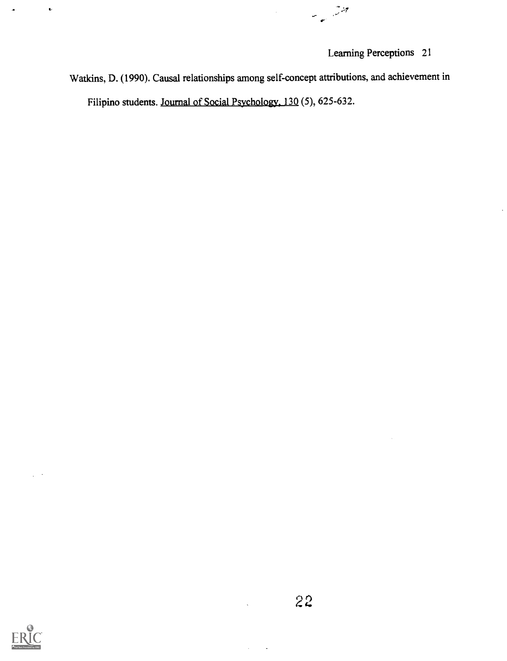منتشر السائلية<br>منتشر السياسية

Watkins, D. (1990). Causal relationships among self-concept attributions, and achievement in Filipino students. Journal of Social Psychology. 130 (5), 625-632.



 $\ddot{\phantom{0}}$ 

22

 $\hat{\mathcal{L}}$  $\ddot{\phantom{a}}$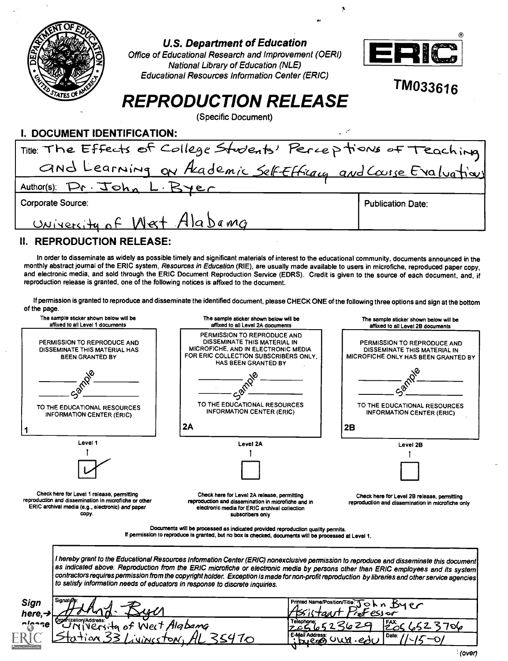| ATES O                          | U.S. Department of Education<br>Office of Educational Research and Improvement (OERI)<br><b>National Library of Education (NLE)</b><br><b>Educational Resources Information Center (ERIC)</b>                                                                                                                                                                                                                                                                | ERIC<br>TM033616         |
|---------------------------------|--------------------------------------------------------------------------------------------------------------------------------------------------------------------------------------------------------------------------------------------------------------------------------------------------------------------------------------------------------------------------------------------------------------------------------------------------------------|--------------------------|
|                                 | <b>REPRODUCTION RELEASE</b>                                                                                                                                                                                                                                                                                                                                                                                                                                  |                          |
|                                 | (Specific Document)                                                                                                                                                                                                                                                                                                                                                                                                                                          |                          |
| <b>DOCUMENT IDENTIFICATION:</b> |                                                                                                                                                                                                                                                                                                                                                                                                                                                              |                          |
|                                 |                                                                                                                                                                                                                                                                                                                                                                                                                                                              |                          |
|                                 | Title: The Effects of College Students' Perceptions of Teaching<br>and Learning on Akademic Self Efficacy and Course Evaluation                                                                                                                                                                                                                                                                                                                              |                          |
|                                 | Author(s): Pr. John L. Byer                                                                                                                                                                                                                                                                                                                                                                                                                                  |                          |
| <b>Corporate Source:</b>        |                                                                                                                                                                                                                                                                                                                                                                                                                                                              | <b>Publication Date:</b> |
|                                 | University of West Alabama                                                                                                                                                                                                                                                                                                                                                                                                                                   |                          |
| II. REPRODUCTION RELEASE:       |                                                                                                                                                                                                                                                                                                                                                                                                                                                              |                          |
|                                 | In order to disseminate as widely as possible timely and significant materials of interest to the educational community, documents announced in the<br>monthly abstract journal of the ERIC system, Resources in Education (RIE), are usually made available to users in microfiche, reproduced paper copy,<br>and electronic media, and sold through the ERIC Document Reproduction Service (EDRS). Credit is given to the source of each document, and, if |                          |

If permission is granted to reproduce and disseminate the identified document, please CHECK ONE of the following three options and sign at the bottom

reproduction release is granted, one of the following notices is affixed to the document.

 $\bar{\gamma}$ 

| The sample sticker shown below will be<br>affixed to all Level 1 documents                                                                                       | The sample sticker shown below will be<br>affixed to all Level 2A documents                                                                                                                                                                                                                                                                                                                                                       | The sample sticker shown below will be<br>affixed to all Level 2B documents                        |
|------------------------------------------------------------------------------------------------------------------------------------------------------------------|-----------------------------------------------------------------------------------------------------------------------------------------------------------------------------------------------------------------------------------------------------------------------------------------------------------------------------------------------------------------------------------------------------------------------------------|----------------------------------------------------------------------------------------------------|
| PERMISSION TO REPRODUCE AND<br>DISSEMINATE THIS MATERIAL HAS<br><b>BEEN GRANTED BY</b>                                                                           | PERMISSION TO REPRODUCE AND<br>DISSEMINATE THIS MATERIAL IN<br>MICROFICHE, AND IN ELECTRONIC MEDIA<br>FOR ERIC COLLECTION SUBSCRIBERS ONLY.<br><b>HAS BEEN GRANTED BY</b>                                                                                                                                                                                                                                                         | PERMISSION TO REPRODUCE AND<br>DISSEMINATE THIS MATERIAL IN<br>MICROFICHE ONLY HAS BEEN GRANTED BY |
|                                                                                                                                                                  |                                                                                                                                                                                                                                                                                                                                                                                                                                   |                                                                                                    |
|                                                                                                                                                                  |                                                                                                                                                                                                                                                                                                                                                                                                                                   |                                                                                                    |
| TO THE EDUCATIONAL RESOURCES<br>INFORMATION CENTER (ERIC)                                                                                                        | TO THE EDUCATIONAL RESOURCES<br><b>INFORMATION CENTER (ERIC)</b>                                                                                                                                                                                                                                                                                                                                                                  | TO THE EDUCATIONAL RESOURCES<br><b>INFORMATION CENTER (ERIC)</b>                                   |
|                                                                                                                                                                  | 2A                                                                                                                                                                                                                                                                                                                                                                                                                                | 2B                                                                                                 |
| Level 1                                                                                                                                                          | Level 2A                                                                                                                                                                                                                                                                                                                                                                                                                          | Level 2B                                                                                           |
|                                                                                                                                                                  |                                                                                                                                                                                                                                                                                                                                                                                                                                   |                                                                                                    |
|                                                                                                                                                                  |                                                                                                                                                                                                                                                                                                                                                                                                                                   |                                                                                                    |
| Check here for Level 1 release, permitting<br>reproduction and dissemination in microfiche or other<br>ERIC archival media (e.g., electronic) and paper<br>CODV. | Check here for Level 2A release, permitting<br>reproduction and dissemination in microfiche and in<br>electronic media for ERIC archival collection<br>subscribers only                                                                                                                                                                                                                                                           | Check here for Level 2B release, permitting<br>reproduction and dissemination in microfiche only   |
|                                                                                                                                                                  | Documents will be processed as indicated provided reproduction quality permits.<br>If permission to reproduce is granted, but no box is checked, documents will be processed at Level 1.                                                                                                                                                                                                                                          |                                                                                                    |
|                                                                                                                                                                  |                                                                                                                                                                                                                                                                                                                                                                                                                                   |                                                                                                    |
|                                                                                                                                                                  | I hereby grant to the Educational Resources Information Center (ERIC) nonexclusive permission to reproduce and disseminate this document<br>as indicated above. Reproduction from the ERIC microfiche or electronic media by persons other than ERIC employees and its system<br>contractors requires permission from the copyright holder. Exception is made for non-profit reproduction by libraries and other service agencies |                                                                                                    |
| to satisfy information needs of educators in response to discrete inquiries.                                                                                     |                                                                                                                                                                                                                                                                                                                                                                                                                                   |                                                                                                    |
| <b>Sign</b><br>here, $\rightarrow$                                                                                                                               | Printed Name/Position/1                                                                                                                                                                                                                                                                                                                                                                                                           | 54<br>essor                                                                                        |
| Tramization/Address:<br>UNIVERSita of West Alabang<br>nlonge                                                                                                     | Telephone<br>E-Mail Address:<br>5470                                                                                                                                                                                                                                                                                                                                                                                              | 2066523706<br>Date:                                                                                |